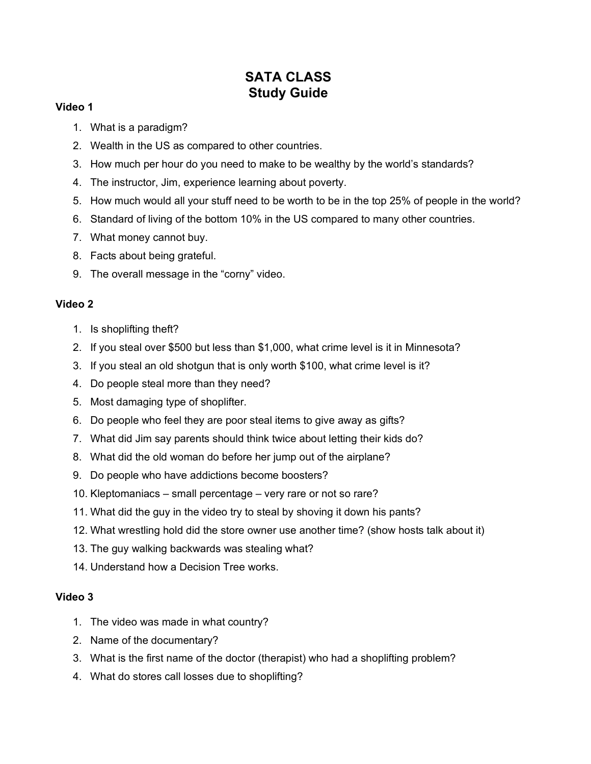## **SATA CLASS Study Guide**

## **Video 1**

- 1. What is a paradigm?
- 2. Wealth in the US as compared to other countries.
- 3. How much per hour do you need to make to be wealthy by the world's standards?
- 4. The instructor, Jim, experience learning about poverty.
- 5. How much would all your stuff need to be worth to be in the top 25% of people in the world?
- 6. Standard of living of the bottom 10% in the US compared to many other countries.
- 7. What money cannot buy.
- 8. Facts about being grateful.
- 9. The overall message in the "corny" video.

## **Video 2**

- 1. Is shoplifting theft?
- 2. If you steal over \$500 but less than \$1,000, what crime level is it in Minnesota?
- 3. If you steal an old shotgun that is only worth \$100, what crime level is it?
- 4. Do people steal more than they need?
- 5. Most damaging type of shoplifter.
- 6. Do people who feel they are poor steal items to give away as gifts?
- 7. What did Jim say parents should think twice about letting their kids do?
- 8. What did the old woman do before her jump out of the airplane?
- 9. Do people who have addictions become boosters?
- 10. Kleptomaniacs small percentage very rare or not so rare?
- 11. What did the guy in the video try to steal by shoving it down his pants?
- 12. What wrestling hold did the store owner use another time? (show hosts talk about it)
- 13. The guy walking backwards was stealing what?
- 14. Understand how a Decision Tree works.

## **Video 3**

- 1. The video was made in what country?
- 2. Name of the documentary?
- 3. What is the first name of the doctor (therapist) who had a shoplifting problem?
- 4. What do stores call losses due to shoplifting?